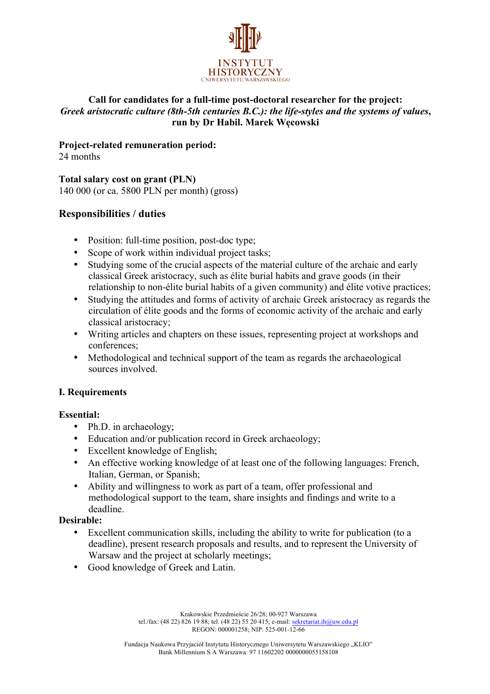

#### **Call for candidates for a full-time post-doctoral researcher for the project:** *Greek aristocratic culture (8th-5th centuries B.C.): the life-styles and the systems of values***, run by Dr Habil. Marek Węcowski**

**Project-related remuneration period:** 24 months

**Total salary cost on grant (PLN)** 140 000 (or ca. 5800 PLN per month) (gross)

# **Responsibilities / duties**

- Position: full-time position, post-doc type:
- Scope of work within individual project tasks;
- Studying some of the crucial aspects of the material culture of the archaic and early classical Greek aristocracy, such as élite burial habits and grave goods (in their relationship to non-élite burial habits of a given community) and élite votive practices;
- Studying the attitudes and forms of activity of archaic Greek aristocracy as regards the circulation of élite goods and the forms of economic activity of the archaic and early classical aristocracy;
- Writing articles and chapters on these issues, representing project at workshops and conferences;
- Methodological and technical support of the team as regards the archaeological sources involved.

# **I. Requirements**

# **Essential:**

- Ph.D. in archaeology;
- Education and/or publication record in Greek archaeology;
- Excellent knowledge of English;
- An effective working knowledge of at least one of the following languages: French, Italian, German, or Spanish;
- Ability and willingness to work as part of a team, offer professional and methodological support to the team, share insights and findings and write to a deadline.

### **Desirable:**

- Excellent communication skills, including the ability to write for publication (to a deadline), present research proposals and results, and to represent the University of Warsaw and the project at scholarly meetings;
- Good knowledge of Greek and Latin.

Krakowskie Przedmieście 26/28; 00-927 Warszawa tel./fax: (48 22) 826 19 88; tel. (48 22) 55 20 415; e-mail: sekretariat.ih@uw.edu.pl REGON: 000001258; NIP: 525-001-12-66